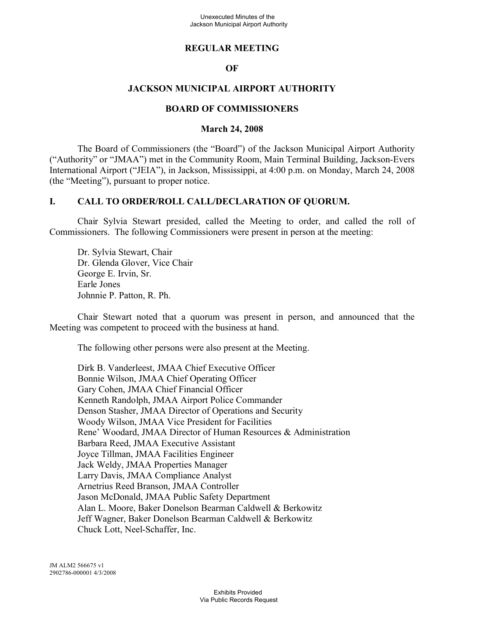## **REGULAR MEETING**

### **OF**

## **JACKSON MUNICIPAL AIRPORT AUTHORITY**

#### **BOARD OF COMMISSIONERS**

#### **March 24, 2008**

The Board of Commissioners (the "Board") of the Jackson Municipal Airport Authority ("Authority" or "JMAA") met in the Community Room, Main Terminal Building, Jackson-Evers International Airport ("JEIA"), in Jackson, Mississippi, at 4:00 p.m. on Monday, March 24, 2008 (the "Meeting"), pursuant to proper notice.

#### **I. CALL TO ORDER/ROLL CALL/DECLARATION OF QUORUM.**

Chair Sylvia Stewart presided, called the Meeting to order, and called the roll of Commissioners. The following Commissioners were present in person at the meeting:

Dr. Sylvia Stewart, Chair Dr. Glenda Glover, Vice Chair George E. Irvin, Sr. Earle Jones Johnnie P. Patton, R. Ph.

Chair Stewart noted that a quorum was present in person, and announced that the Meeting was competent to proceed with the business at hand.

The following other persons were also present at the Meeting.

Dirk B. Vanderleest, JMAA Chief Executive Officer Bonnie Wilson, JMAA Chief Operating Officer Gary Cohen, JMAA Chief Financial Officer Kenneth Randolph, JMAA Airport Police Commander Denson Stasher, JMAA Director of Operations and Security Woody Wilson, JMAA Vice President for Facilities Rene' Woodard, JMAA Director of Human Resources & Administration Barbara Reed, JMAA Executive Assistant Joyce Tillman, JMAA Facilities Engineer Jack Weldy, JMAA Properties Manager Larry Davis, JMAA Compliance Analyst Arnetrius Reed Branson, JMAA Controller Jason McDonald, JMAA Public Safety Department Alan L. Moore, Baker Donelson Bearman Caldwell & Berkowitz Jeff Wagner, Baker Donelson Bearman Caldwell & Berkowitz Chuck Lott, Neel-Schaffer, Inc.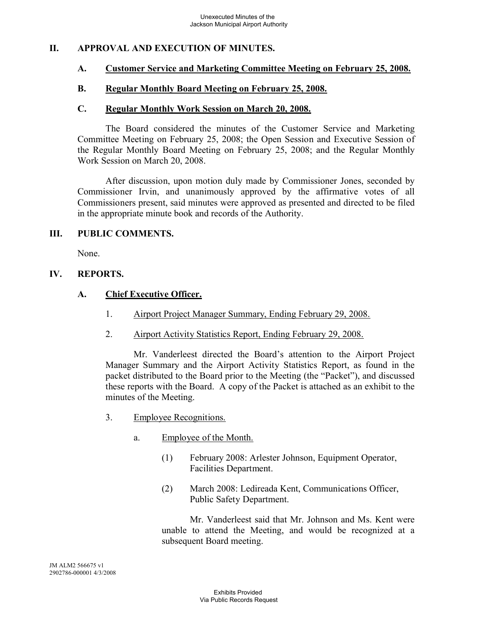## **II. APPROVAL AND EXECUTION OF MINUTES.**

#### **A. Customer Service and Marketing Committee Meeting on February 25, 2008.**

#### **B. Regular Monthly Board Meeting on February 25, 2008.**

#### **C. Regular Monthly Work Session on March 20, 2008.**

The Board considered the minutes of the Customer Service and Marketing Committee Meeting on February 25, 2008; the Open Session and Executive Session of the Regular Monthly Board Meeting on February 25, 2008; and the Regular Monthly Work Session on March 20, 2008.

After discussion, upon motion duly made by Commissioner Jones, seconded by Commissioner Irvin, and unanimously approved by the affirmative votes of all Commissioners present, said minutes were approved as presented and directed to be filed in the appropriate minute book and records of the Authority.

#### **III. PUBLIC COMMENTS.**

None.

#### **IV. REPORTS.**

### **A. Chief Executive Officer.**

- 1. Airport Project Manager Summary, Ending February 29, 2008.
- 2. Airport Activity Statistics Report, Ending February 29, 2008.

Mr. Vanderleest directed the Board's attention to the Airport Project Manager Summary and the Airport Activity Statistics Report, as found in the packet distributed to the Board prior to the Meeting (the "Packet"), and discussed these reports with the Board. A copy of the Packet is attached as an exhibit to the minutes of the Meeting.

- 3. Employee Recognitions.
	- a. Employee of the Month.
		- (1) February 2008: Arlester Johnson, Equipment Operator, Facilities Department.
		- (2) March 2008: Ledireada Kent, Communications Officer, Public Safety Department.

Mr. Vanderleest said that Mr. Johnson and Ms. Kent were unable to attend the Meeting, and would be recognized at a subsequent Board meeting.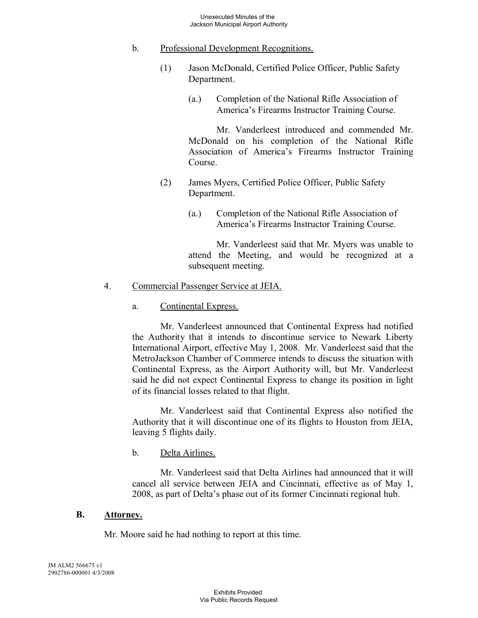- b. Professional Development Recognitions.
	- (1) Jason McDonald, Certified Police Officer, Public Safety Department.
		- (a.) Completion of the National Rifle Association of America's Firearms Instructor Training Course.

Mr. Vanderleest introduced and commended Mr. McDonald on his completion of the National Rifle Association of America's Firearms Instructor Training Course.

- (2) James Myers, Certified Police Officer, Public Safety Department.
	- (a.) Completion of the National Rifle Association of America's Firearms Instructor Training Course.

Mr. Vanderleest said that Mr. Myers was unable to attend the Meeting, and would be recognized at a subsequent meeting.

- 4. Commercial Passenger Service at JEIA.
	- a. Continental Express.

Mr. Vanderleest announced that Continental Express had notified the Authority that it intends to discontinue service to Newark Liberty International Airport, effective May 1, 2008. Mr. Vanderleest said that the MetroJackson Chamber of Commerce intends to discuss the situation with Continental Express, as the Airport Authority will, but Mr. Vanderleest said he did not expect Continental Express to change its position in light of its financial losses related to that flight.

Mr. Vanderleest said that Continental Express also notified the Authority that it will discontinue one of its flights to Houston from JEIA, leaving 5 flights daily.

b. Delta Airlines.

Mr. Vanderleest said that Delta Airlines had announced that it will cancel all service between JEIA and Cincinnati, effective as of May 1, 2008, as part of Delta's phase out of its former Cincinnati regional hub.

### **B. Attorney.**

Mr. Moore said he had nothing to report at this time.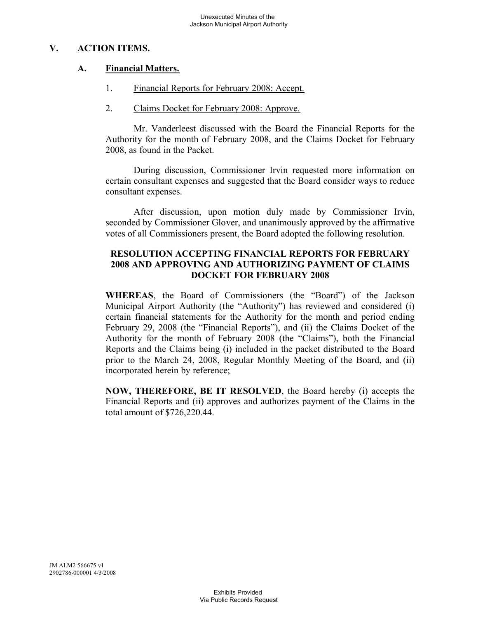# **V. ACTION ITEMS.**

# **A. Financial Matters.**

- 1. Financial Reports for February 2008: Accept.
- 2. Claims Docket for February 2008: Approve.

Mr. Vanderleest discussed with the Board the Financial Reports for the Authority for the month of February 2008, and the Claims Docket for February 2008, as found in the Packet.

During discussion, Commissioner Irvin requested more information on certain consultant expenses and suggested that the Board consider ways to reduce consultant expenses.

After discussion, upon motion duly made by Commissioner Irvin, seconded by Commissioner Glover, and unanimously approved by the affirmative votes of all Commissioners present, the Board adopted the following resolution.

### **RESOLUTION ACCEPTING FINANCIAL REPORTS FOR FEBRUARY 2008 AND APPROVING AND AUTHORIZING PAYMENT OF CLAIMS DOCKET FOR FEBRUARY 2008**

**WHEREAS**, the Board of Commissioners (the "Board") of the Jackson Municipal Airport Authority (the "Authority") has reviewed and considered (i) certain financial statements for the Authority for the month and period ending February 29, 2008 (the "Financial Reports"), and (ii) the Claims Docket of the Authority for the month of February 2008 (the "Claims"), both the Financial Reports and the Claims being (i) included in the packet distributed to the Board prior to the March 24, 2008, Regular Monthly Meeting of the Board, and (ii) incorporated herein by reference;

**NOW, THEREFORE, BE IT RESOLVED**, the Board hereby (i) accepts the Financial Reports and (ii) approves and authorizes payment of the Claims in the total amount of \$726,220.44.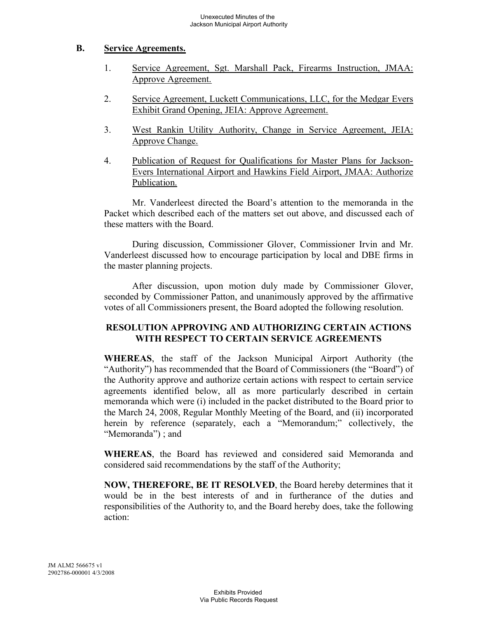### **B. Service Agreements.**

- 1. Service Agreement, Sgt. Marshall Pack, Firearms Instruction, JMAA: Approve Agreement.
- 2. Service Agreement, Luckett Communications, LLC, for the Medgar Evers Exhibit Grand Opening, JEIA: Approve Agreement.
- 3. West Rankin Utility Authority, Change in Service Agreement, JEIA: Approve Change.
- 4. Publication of Request for Qualifications for Master Plans for Jackson-Evers International Airport and Hawkins Field Airport, JMAA: Authorize Publication.

Mr. Vanderleest directed the Board's attention to the memoranda in the Packet which described each of the matters set out above, and discussed each of these matters with the Board.

During discussion, Commissioner Glover, Commissioner Irvin and Mr. Vanderleest discussed how to encourage participation by local and DBE firms in the master planning projects.

After discussion, upon motion duly made by Commissioner Glover, seconded by Commissioner Patton, and unanimously approved by the affirmative votes of all Commissioners present, the Board adopted the following resolution.

# **RESOLUTION APPROVING AND AUTHORIZING CERTAIN ACTIONS WITH RESPECT TO CERTAIN SERVICE AGREEMENTS**

**WHEREAS**, the staff of the Jackson Municipal Airport Authority (the "Authority") has recommended that the Board of Commissioners (the "Board") of the Authority approve and authorize certain actions with respect to certain service agreements identified below, all as more particularly described in certain memoranda which were (i) included in the packet distributed to the Board prior to the March 24, 2008, Regular Monthly Meeting of the Board, and (ii) incorporated herein by reference (separately, each a "Memorandum;" collectively, the "Memoranda"); and

**WHEREAS**, the Board has reviewed and considered said Memoranda and considered said recommendations by the staff of the Authority;

**NOW, THEREFORE, BE IT RESOLVED**, the Board hereby determines that it would be in the best interests of and in furtherance of the duties and responsibilities of the Authority to, and the Board hereby does, take the following action: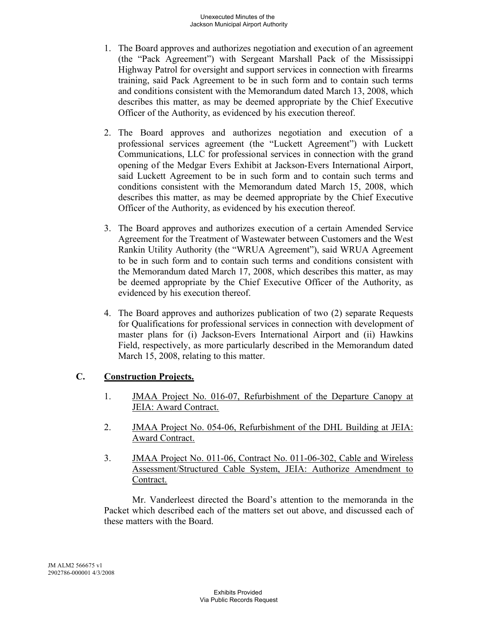- 1. The Board approves and authorizes negotiation and execution of an agreement (the "Pack Agreement") with Sergeant Marshall Pack of the Mississippi Highway Patrol for oversight and support services in connection with firearms training, said Pack Agreement to be in such form and to contain such terms and conditions consistent with the Memorandum dated March 13, 2008, which describes this matter, as may be deemed appropriate by the Chief Executive Officer of the Authority, as evidenced by his execution thereof.
- 2. The Board approves and authorizes negotiation and execution of a professional services agreement (the "Luckett Agreement") with Luckett Communications, LLC for professional services in connection with the grand opening of the Medgar Evers Exhibit at Jackson-Evers International Airport, said Luckett Agreement to be in such form and to contain such terms and conditions consistent with the Memorandum dated March 15, 2008, which describes this matter, as may be deemed appropriate by the Chief Executive Officer of the Authority, as evidenced by his execution thereof.
- 3. The Board approves and authorizes execution of a certain Amended Service Agreement for the Treatment of Wastewater between Customers and the West Rankin Utility Authority (the "WRUA Agreement"), said WRUA Agreement to be in such form and to contain such terms and conditions consistent with the Memorandum dated March 17, 2008, which describes this matter, as may be deemed appropriate by the Chief Executive Officer of the Authority, as evidenced by his execution thereof.
- 4. The Board approves and authorizes publication of two (2) separate Requests for Qualifications for professional services in connection with development of master plans for (i) Jackson-Evers International Airport and (ii) Hawkins Field, respectively, as more particularly described in the Memorandum dated March 15, 2008, relating to this matter.

# **C. Construction Projects.**

- 1. JMAA Project No. 016-07, Refurbishment of the Departure Canopy at JEIA: Award Contract.
- 2. JMAA Project No. 054-06, Refurbishment of the DHL Building at JEIA: Award Contract.
- 3. JMAA Project No. 011-06, Contract No. 011-06-302, Cable and Wireless Assessment/Structured Cable System, JEIA: Authorize Amendment to Contract.

Mr. Vanderleest directed the Board's attention to the memoranda in the Packet which described each of the matters set out above, and discussed each of these matters with the Board.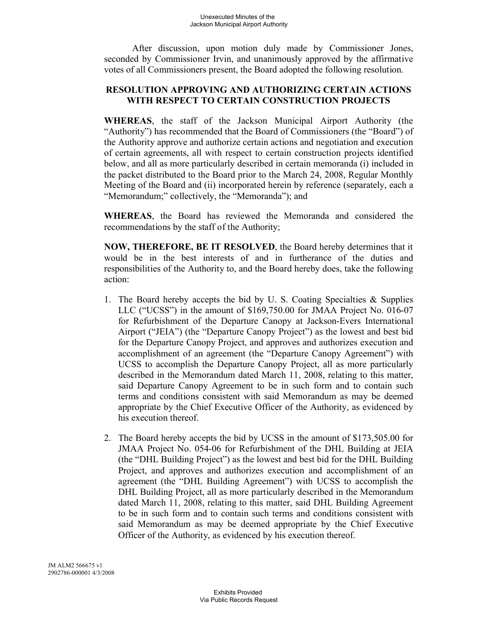After discussion, upon motion duly made by Commissioner Jones, seconded by Commissioner Irvin, and unanimously approved by the affirmative votes of all Commissioners present, the Board adopted the following resolution.

# **RESOLUTION APPROVING AND AUTHORIZING CERTAIN ACTIONS WITH RESPECT TO CERTAIN CONSTRUCTION PROJECTS**

**WHEREAS**, the staff of the Jackson Municipal Airport Authority (the "Authority") has recommended that the Board of Commissioners (the "Board") of the Authority approve and authorize certain actions and negotiation and execution of certain agreements, all with respect to certain construction projects identified below, and all as more particularly described in certain memoranda (i) included in the packet distributed to the Board prior to the March 24, 2008, Regular Monthly Meeting of the Board and (ii) incorporated herein by reference (separately, each a "Memorandum;" collectively, the "Memoranda"); and

**WHEREAS**, the Board has reviewed the Memoranda and considered the recommendations by the staff of the Authority;

**NOW, THEREFORE, BE IT RESOLVED**, the Board hereby determines that it would be in the best interests of and in furtherance of the duties and responsibilities of the Authority to, and the Board hereby does, take the following action:

- 1. The Board hereby accepts the bid by U. S. Coating Specialties  $\&$  Supplies LLC ("UCSS") in the amount of \$169,750.00 for JMAA Project No. 016-07 for Refurbishment of the Departure Canopy at Jackson-Evers International Airport ("JEIA") (the "Departure Canopy Project") as the lowest and best bid for the Departure Canopy Project, and approves and authorizes execution and accomplishment of an agreement (the "Departure Canopy Agreement") with UCSS to accomplish the Departure Canopy Project, all as more particularly described in the Memorandum dated March 11, 2008, relating to this matter, said Departure Canopy Agreement to be in such form and to contain such terms and conditions consistent with said Memorandum as may be deemed appropriate by the Chief Executive Officer of the Authority, as evidenced by his execution thereof.
- 2. The Board hereby accepts the bid by UCSS in the amount of \$173,505.00 for JMAA Project No. 054-06 for Refurbishment of the DHL Building at JEIA (the "DHL Building Project") as the lowest and best bid for the DHL Building Project, and approves and authorizes execution and accomplishment of an agreement (the "DHL Building Agreement") with UCSS to accomplish the DHL Building Project, all as more particularly described in the Memorandum dated March 11, 2008, relating to this matter, said DHL Building Agreement to be in such form and to contain such terms and conditions consistent with said Memorandum as may be deemed appropriate by the Chief Executive Officer of the Authority, as evidenced by his execution thereof.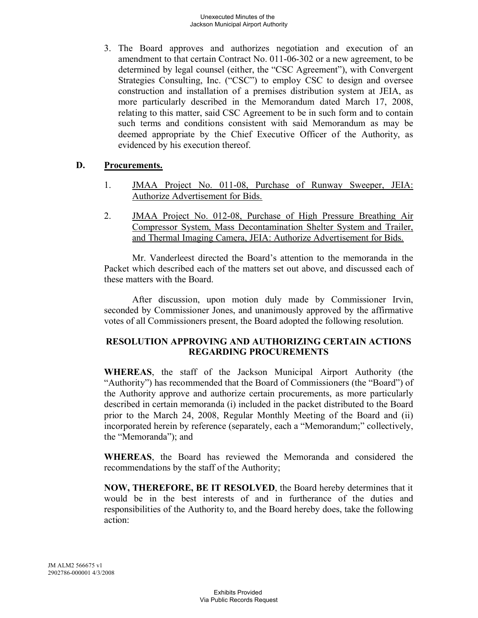3. The Board approves and authorizes negotiation and execution of an amendment to that certain Contract No. 011-06-302 or a new agreement, to be determined by legal counsel (either, the "CSC Agreement"), with Convergent Strategies Consulting, Inc. ("CSC") to employ CSC to design and oversee construction and installation of a premises distribution system at JEIA, as more particularly described in the Memorandum dated March 17, 2008, relating to this matter, said CSC Agreement to be in such form and to contain such terms and conditions consistent with said Memorandum as may be deemed appropriate by the Chief Executive Officer of the Authority, as evidenced by his execution thereof.

### **D. Procurements.**

- 1. JMAA Project No. 011-08, Purchase of Runway Sweeper, JEIA: Authorize Advertisement for Bids.
- 2. JMAA Project No. 012-08, Purchase of High Pressure Breathing Air Compressor System, Mass Decontamination Shelter System and Trailer, and Thermal Imaging Camera, JEIA: Authorize Advertisement for Bids.

Mr. Vanderleest directed the Board's attention to the memoranda in the Packet which described each of the matters set out above, and discussed each of these matters with the Board.

After discussion, upon motion duly made by Commissioner Irvin, seconded by Commissioner Jones, and unanimously approved by the affirmative votes of all Commissioners present, the Board adopted the following resolution.

### **RESOLUTION APPROVING AND AUTHORIZING CERTAIN ACTIONS REGARDING PROCUREMENTS**

**WHEREAS**, the staff of the Jackson Municipal Airport Authority (the "Authority") has recommended that the Board of Commissioners (the "Board") of the Authority approve and authorize certain procurements, as more particularly described in certain memoranda (i) included in the packet distributed to the Board prior to the March 24, 2008, Regular Monthly Meeting of the Board and (ii) incorporated herein by reference (separately, each a "Memorandum;" collectively, the "Memoranda"); and

**WHEREAS**, the Board has reviewed the Memoranda and considered the recommendations by the staff of the Authority;

**NOW, THEREFORE, BE IT RESOLVED**, the Board hereby determines that it would be in the best interests of and in furtherance of the duties and responsibilities of the Authority to, and the Board hereby does, take the following action: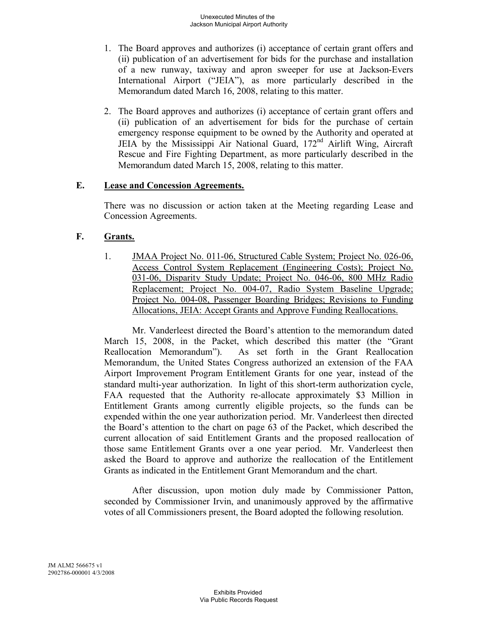- 1. The Board approves and authorizes (i) acceptance of certain grant offers and (ii) publication of an advertisement for bids for the purchase and installation of a new runway, taxiway and apron sweeper for use at Jackson-Evers International Airport ("JEIA"), as more particularly described in the Memorandum dated March 16, 2008, relating to this matter.
- 2. The Board approves and authorizes (i) acceptance of certain grant offers and (ii) publication of an advertisement for bids for the purchase of certain emergency response equipment to be owned by the Authority and operated at JEIA by the Mississippi Air National Guard, 172nd Airlift Wing, Aircraft Rescue and Fire Fighting Department, as more particularly described in the Memorandum dated March 15, 2008, relating to this matter.

### **E. Lease and Concession Agreements.**

There was no discussion or action taken at the Meeting regarding Lease and Concession Agreements.

### **F. Grants.**

1. JMAA Project No. 011-06, Structured Cable System; Project No. 026-06, Access Control System Replacement (Engineering Costs); Project No. 031-06, Disparity Study Update; Project No. 046-06, 800 MHz Radio Replacement; Project No. 004-07, Radio System Baseline Upgrade; Project No. 004-08, Passenger Boarding Bridges; Revisions to Funding Allocations, JEIA: Accept Grants and Approve Funding Reallocations.

Mr. Vanderleest directed the Board's attention to the memorandum dated March 15, 2008, in the Packet, which described this matter (the "Grant Reallocation Memorandum"). As set forth in the Grant Reallocation Memorandum, the United States Congress authorized an extension of the FAA Airport Improvement Program Entitlement Grants for one year, instead of the standard multi-year authorization. In light of this short-term authorization cycle, FAA requested that the Authority re-allocate approximately \$3 Million in Entitlement Grants among currently eligible projects, so the funds can be expended within the one year authorization period. Mr. Vanderleest then directed the Board's attention to the chart on page 63 of the Packet, which described the current allocation of said Entitlement Grants and the proposed reallocation of those same Entitlement Grants over a one year period. Mr. Vanderleest then asked the Board to approve and authorize the reallocation of the Entitlement Grants as indicated in the Entitlement Grant Memorandum and the chart.

After discussion, upon motion duly made by Commissioner Patton, seconded by Commissioner Irvin, and unanimously approved by the affirmative votes of all Commissioners present, the Board adopted the following resolution.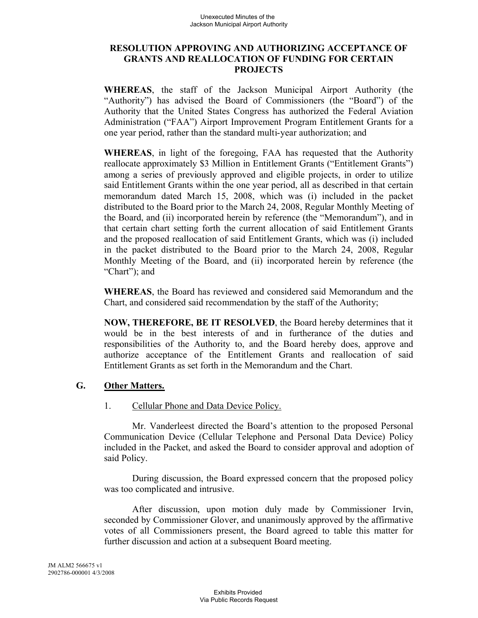### **RESOLUTION APPROVING AND AUTHORIZING ACCEPTANCE OF GRANTS AND REALLOCATION OF FUNDING FOR CERTAIN PROJECTS**

**WHEREAS**, the staff of the Jackson Municipal Airport Authority (the "Authority") has advised the Board of Commissioners (the "Board") of the Authority that the United States Congress has authorized the Federal Aviation Administration ("FAA") Airport Improvement Program Entitlement Grants for a one year period, rather than the standard multi-year authorization; and

**WHEREAS**, in light of the foregoing, FAA has requested that the Authority reallocate approximately \$3 Million in Entitlement Grants ("Entitlement Grants") among a series of previously approved and eligible projects, in order to utilize said Entitlement Grants within the one year period, all as described in that certain memorandum dated March 15, 2008, which was (i) included in the packet distributed to the Board prior to the March 24, 2008, Regular Monthly Meeting of the Board, and (ii) incorporated herein by reference (the "Memorandum"), and in that certain chart setting forth the current allocation of said Entitlement Grants and the proposed reallocation of said Entitlement Grants, which was (i) included in the packet distributed to the Board prior to the March 24, 2008, Regular Monthly Meeting of the Board, and (ii) incorporated herein by reference (the "Chart"); and

**WHEREAS**, the Board has reviewed and considered said Memorandum and the Chart, and considered said recommendation by the staff of the Authority;

**NOW, THEREFORE, BE IT RESOLVED**, the Board hereby determines that it would be in the best interests of and in furtherance of the duties and responsibilities of the Authority to, and the Board hereby does, approve and authorize acceptance of the Entitlement Grants and reallocation of said Entitlement Grants as set forth in the Memorandum and the Chart.

# **G. Other Matters.**

#### 1. Cellular Phone and Data Device Policy.

Mr. Vanderleest directed the Board's attention to the proposed Personal Communication Device (Cellular Telephone and Personal Data Device) Policy included in the Packet, and asked the Board to consider approval and adoption of said Policy.

During discussion, the Board expressed concern that the proposed policy was too complicated and intrusive.

After discussion, upon motion duly made by Commissioner Irvin, seconded by Commissioner Glover, and unanimously approved by the affirmative votes of all Commissioners present, the Board agreed to table this matter for further discussion and action at a subsequent Board meeting.